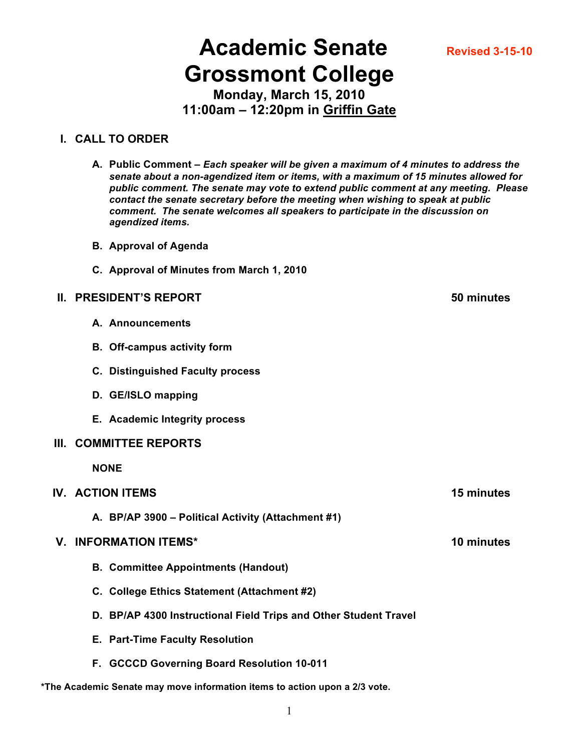1

# **Academic Senate Revised 3-15-10 Grossmont College**

**Monday, March 15, 2010 11:00am – 12:20pm in Griffin Gate**

#### **I. CALL TO ORDER**

- **A. Public Comment –** *Each speaker will be given a maximum of 4 minutes to address the senate about a non-agendized item or items, with a maximum of 15 minutes allowed for public comment. The senate may vote to extend public comment at any meeting. Please contact the senate secretary before the meeting when wishing to speak at public comment. The senate welcomes all speakers to participate in the discussion on agendized items.*
- **B. Approval of Agenda**
- **C. Approval of Minutes from March 1, 2010**

#### **II. PRESIDENT'S REPORT 50 minutes**

- **A. Announcements**
- **B. Off-campus activity form**
- **C. Distinguished Faculty process**
- **D. GE/ISLO mapping**
- **E. Academic Integrity process**

#### **III. COMMITTEE REPORTS**

**NONE**

#### **IV. ACTION ITEMS 15 minutes**

**A. BP/AP 3900 – Political Activity (Attachment #1)**

#### **V. INFORMATION ITEMS\* 10 minutes**

- **B. Committee Appointments (Handout)**
- **C. College Ethics Statement (Attachment #2)**
- **D. BP/AP 4300 Instructional Field Trips and Other Student Travel**
- **E. Part-Time Faculty Resolution**
- **F. GCCCD Governing Board Resolution 10-011**

**\*The Academic Senate may move information items to action upon a 2/3 vote.**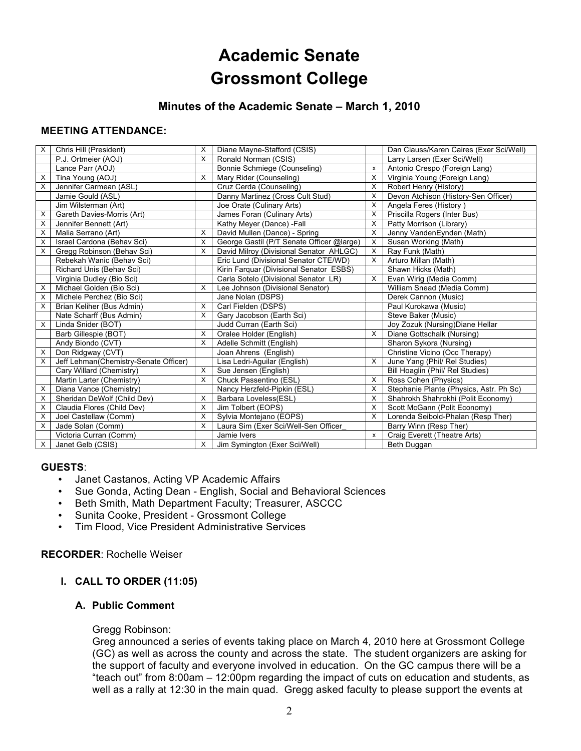## **Academic Senate Grossmont College**

#### **Minutes of the Academic Senate – March 1, 2010**

#### **MEETING ATTENDANCE:**

| X | Chris Hill (President)                | X        | Diane Mayne-Stafford (CSIS)               |                           | Dan Clauss/Karen Caires (Exer Sci/Well) |
|---|---------------------------------------|----------|-------------------------------------------|---------------------------|-----------------------------------------|
|   | P.J. Ortmeier (AOJ)                   | X        | Ronald Norman (CSIS)                      |                           | Larry Larsen (Exer Sci/Well)            |
|   | Lance Parr (AOJ)                      |          | Bonnie Schmiege (Counseling)              | x                         | Antonio Crespo (Foreign Lang)           |
| х | Tina Young (AOJ)                      | Х        | Mary Rider (Counseling)                   | X                         | Virginia Young (Foreign Lang)           |
| X | Jennifer Carmean (ASL)                |          | Cruz Cerda (Counseling)                   | X                         | Robert Henry (History)                  |
|   | Jamie Gould (ASL)                     |          | Danny Martinez (Cross Cult Stud)          | $\times$                  | Devon Atchison (History-Sen Officer)    |
|   | Jim Wilsterman (Art)                  |          | Joe Orate (Culinary Arts)                 | X                         | Angela Feres (History)                  |
| х | Gareth Davies-Morris (Art)            |          | James Foran (Culinary Arts)               | X                         | Priscilla Rogers (Inter Bus)            |
| X | Jennifer Bennett (Art)                |          | Kathy Meyer (Dance) -Fall                 | X                         | Patty Morrison (Library)                |
| X | Malia Serrano (Art)                   | X        | David Mullen (Dance) - Spring             | X                         | Jenny VandenEynden (Math)               |
| X | Israel Cardona (Behav Sci)            | X        | George Gastil (P/T Senate Officer @large) | X                         | Susan Working (Math)                    |
| X | Gregg Robinson (Behav Sci)            | X        | David Milroy (Divisional Senator AHLGC)   | X                         | Ray Funk (Math)                         |
|   | Rebekah Wanic (Behav Sci)             |          | Eric Lund (Divisional Senator CTE/WD)     | X                         | Arturo Millan (Math)                    |
|   | Richard Unis (Behav Sci)              |          | Kirin Farquar (Divisional Senator ESBS)   |                           | Shawn Hicks (Math)                      |
|   | Virginia Dudley (Bio Sci)             |          | Carla Sotelo (Divisional Senator LR)      | X                         | Evan Wirig (Media Comm)                 |
| х | Michael Golden (Bio Sci)              | X        | Lee Johnson (Divisional Senator)          |                           | William Snead (Media Comm)              |
| X | Michele Perchez (Bio Sci)             |          | Jane Nolan (DSPS)                         |                           | Derek Cannon (Music)                    |
| X | Brian Keliher (Bus Admin)             | X        | Carl Fielden (DSPS)                       |                           | Paul Kurokawa (Music)                   |
|   | Nate Scharff (Bus Admin)              | X        | Gary Jacobson (Earth Sci)                 |                           | Steve Baker (Music)                     |
| X | Linda Snider (BOT)                    |          | Judd Curran (Earth Sci)                   |                           | Joy Zozuk (Nursing) Diane Hellar        |
|   | Barb Gillespie (BOT)                  | X        | Oralee Holder (English)                   | X                         | Diane Gottschalk (Nursing)              |
|   | Andy Biondo (CVT)                     | X        | Adelle Schmitt (English)                  |                           | Sharon Sykora (Nursing)                 |
| х | Don Ridaway (CVT)                     |          | Joan Ahrens (English)                     |                           | Christine Vicino (Occ Therapy)          |
| X | Jeff Lehman(Chemistry-Senate Officer) |          | Lisa Ledri-Aguilar (English)              | X                         | June Yang (Phil/ Rel Studies)           |
|   | Cary Willard (Chemistry)              | X        | Sue Jensen (English)                      |                           | Bill Hoaglin (Phil/ Rel Studies)        |
|   | Martin Larter (Chemistry)             | X        | Chuck Passentino (ESL)                    | X                         | Ross Cohen (Physics)                    |
| х | Diana Vance (Chemistry)               |          | Nancy Herzfeld-Pipkin (ESL)               | X                         | Stephanie Plante (Physics, Astr. Ph Sc) |
| X | Sheridan DeWolf (Child Dev)           | X        | Barbara Loveless(ESL)                     | X                         | Shahrokh Shahrokhi (Polit Economy)      |
| X | Claudia Flores (Child Dev)            | X        | Jim Tolbert (EOPS)                        | X                         | Scott McGann (Polit Economy)            |
| X | Joel Castellaw (Comm)                 | $\times$ | Sylvia Montejano (EOPS)                   | X                         | Lorenda Seibold-Phalan (Resp Ther)      |
| х | Jade Solan (Comm)                     | X        | Laura Sim (Exer Sci/Well-Sen Officer      |                           | Barry Winn (Resp Ther)                  |
|   | Victoria Curran (Comm)                |          | Jamie Ivers                               | $\boldsymbol{\mathsf{x}}$ | Craig Everett (Theatre Arts)            |
| X | Janet Gelb (CSIS)                     | X        | Jim Symington (Exer Sci/Well)             |                           | Beth Duggan                             |

#### **GUESTS**:

- Janet Castanos, Acting VP Academic Affairs<br>• Sue Gonda, Acting Dean English, Social an
- Sue Gonda, Acting Dean English, Social and Behavioral Sciences
- Beth Smith, Math Department Faculty; Treasurer, ASCCC
- Sunita Cooke, President Grossmont College<br>• Tim Flood, Vice President Administrative Serv
- Tim Flood, Vice President Administrative Services

#### **RECORDER**: Rochelle Weiser

#### **I. CALL TO ORDER (11:05)**

#### **A. Public Comment**

#### Gregg Robinson:

Greg announced a series of events taking place on March 4, 2010 here at Grossmont College (GC) as well as across the county and across the state. The student organizers are asking for the support of faculty and everyone involved in education. On the GC campus there will be a "teach out" from 8:00am – 12:00pm regarding the impact of cuts on education and students, as well as a rally at 12:30 in the main quad. Gregg asked faculty to please support the events at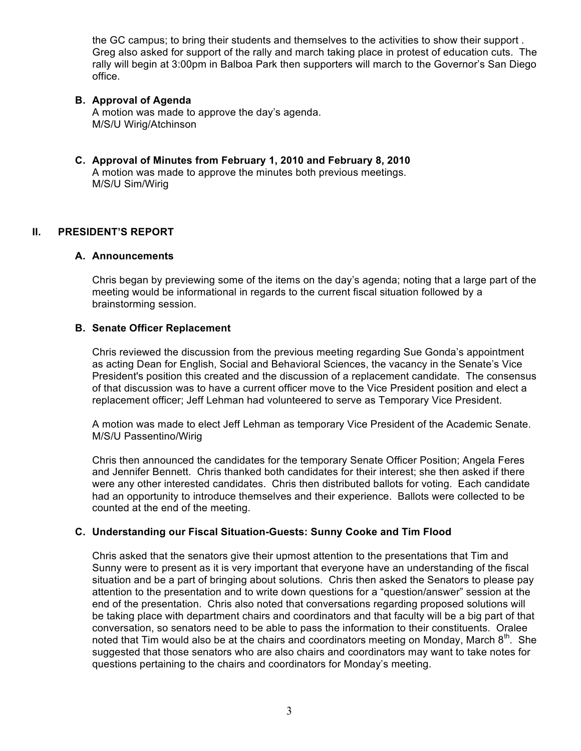the GC campus; to bring their students and themselves to the activities to show their support . Greg also asked for support of the rally and march taking place in protest of education cuts. The rally will begin at 3:00pm in Balboa Park then supporters will march to the Governor's San Diego office.

#### **B. Approval of Agenda**

A motion was made to approve the day's agenda. M/S/U Wirig/Atchinson

**C. Approval of Minutes from February 1, 2010 and February 8, 2010** A motion was made to approve the minutes both previous meetings. M/S/U Sim/Wirig

#### **II. PRESIDENT'S REPORT**

#### **A. Announcements**

Chris began by previewing some of the items on the day's agenda; noting that a large part of the meeting would be informational in regards to the current fiscal situation followed by a brainstorming session.

#### **B. Senate Officer Replacement**

Chris reviewed the discussion from the previous meeting regarding Sue Gonda's appointment as acting Dean for English, Social and Behavioral Sciences, the vacancy in the Senate's Vice President's position this created and the discussion of a replacement candidate. The consensus of that discussion was to have a current officer move to the Vice President position and elect a replacement officer; Jeff Lehman had volunteered to serve as Temporary Vice President.

A motion was made to elect Jeff Lehman as temporary Vice President of the Academic Senate. M/S/U Passentino/Wirig

Chris then announced the candidates for the temporary Senate Officer Position; Angela Feres and Jennifer Bennett. Chris thanked both candidates for their interest; she then asked if there were any other interested candidates. Chris then distributed ballots for voting. Each candidate had an opportunity to introduce themselves and their experience. Ballots were collected to be counted at the end of the meeting.

#### **C. Understanding our Fiscal Situation-Guests: Sunny Cooke and Tim Flood**

Chris asked that the senators give their upmost attention to the presentations that Tim and Sunny were to present as it is very important that everyone have an understanding of the fiscal situation and be a part of bringing about solutions. Chris then asked the Senators to please pay attention to the presentation and to write down questions for a "question/answer" session at the end of the presentation. Chris also noted that conversations regarding proposed solutions will be taking place with department chairs and coordinators and that faculty will be a big part of that conversation, so senators need to be able to pass the information to their constituents. Oralee noted that Tim would also be at the chairs and coordinators meeting on Monday, March  $8<sup>th</sup>$ . She suggested that those senators who are also chairs and coordinators may want to take notes for questions pertaining to the chairs and coordinators for Monday's meeting.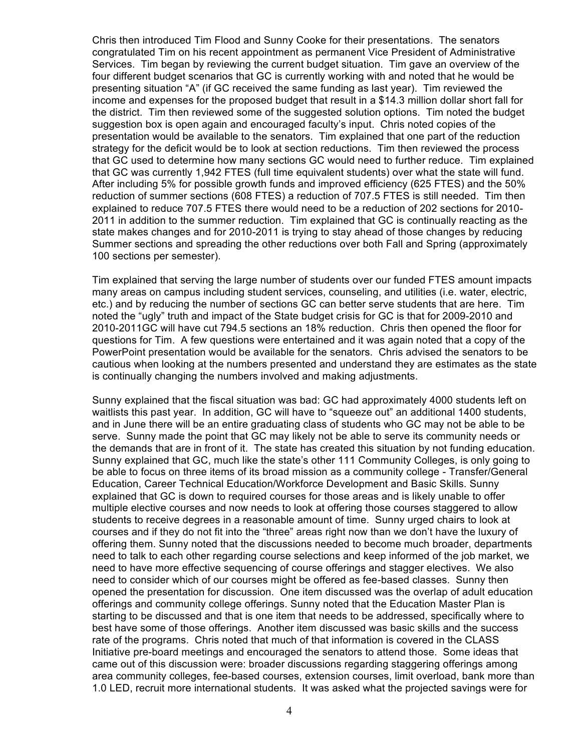Chris then introduced Tim Flood and Sunny Cooke for their presentations. The senators congratulated Tim on his recent appointment as permanent Vice President of Administrative Services. Tim began by reviewing the current budget situation. Tim gave an overview of the four different budget scenarios that GC is currently working with and noted that he would be presenting situation "A" (if GC received the same funding as last year). Tim reviewed the income and expenses for the proposed budget that result in a \$14.3 million dollar short fall for the district. Tim then reviewed some of the suggested solution options. Tim noted the budget suggestion box is open again and encouraged faculty's input. Chris noted copies of the presentation would be available to the senators. Tim explained that one part of the reduction strategy for the deficit would be to look at section reductions. Tim then reviewed the process that GC used to determine how many sections GC would need to further reduce. Tim explained that GC was currently 1,942 FTES (full time equivalent students) over what the state will fund. After including 5% for possible growth funds and improved efficiency (625 FTES) and the 50% reduction of summer sections (608 FTES) a reduction of 707.5 FTES is still needed. Tim then explained to reduce 707.5 FTES there would need to be a reduction of 202 sections for 2010- 2011 in addition to the summer reduction. Tim explained that GC is continually reacting as the state makes changes and for 2010-2011 is trying to stay ahead of those changes by reducing Summer sections and spreading the other reductions over both Fall and Spring (approximately 100 sections per semester).

Tim explained that serving the large number of students over our funded FTES amount impacts many areas on campus including student services, counseling, and utilities (i.e. water, electric, etc.) and by reducing the number of sections GC can better serve students that are here. Tim noted the "ugly" truth and impact of the State budget crisis for GC is that for 2009-2010 and 2010-2011GC will have cut 794.5 sections an 18% reduction. Chris then opened the floor for questions for Tim. A few questions were entertained and it was again noted that a copy of the PowerPoint presentation would be available for the senators. Chris advised the senators to be cautious when looking at the numbers presented and understand they are estimates as the state is continually changing the numbers involved and making adjustments.

Sunny explained that the fiscal situation was bad: GC had approximately 4000 students left on waitlists this past year. In addition, GC will have to "squeeze out" an additional 1400 students, and in June there will be an entire graduating class of students who GC may not be able to be serve. Sunny made the point that GC may likely not be able to serve its community needs or the demands that are in front of it. The state has created this situation by not funding education. Sunny explained that GC, much like the state's other 111 Community Colleges, is only going to be able to focus on three items of its broad mission as a community college - Transfer/General Education, Career Technical Education/Workforce Development and Basic Skills. Sunny explained that GC is down to required courses for those areas and is likely unable to offer multiple elective courses and now needs to look at offering those courses staggered to allow students to receive degrees in a reasonable amount of time. Sunny urged chairs to look at courses and if they do not fit into the "three" areas right now than we don't have the luxury of offering them. Sunny noted that the discussions needed to become much broader, departments need to talk to each other regarding course selections and keep informed of the job market, we need to have more effective sequencing of course offerings and stagger electives. We also need to consider which of our courses might be offered as fee-based classes. Sunny then opened the presentation for discussion. One item discussed was the overlap of adult education offerings and community college offerings. Sunny noted that the Education Master Plan is starting to be discussed and that is one item that needs to be addressed, specifically where to best have some of those offerings. Another item discussed was basic skills and the success rate of the programs. Chris noted that much of that information is covered in the CLASS Initiative pre-board meetings and encouraged the senators to attend those. Some ideas that came out of this discussion were: broader discussions regarding staggering offerings among area community colleges, fee-based courses, extension courses, limit overload, bank more than 1.0 LED, recruit more international students. It was asked what the projected savings were for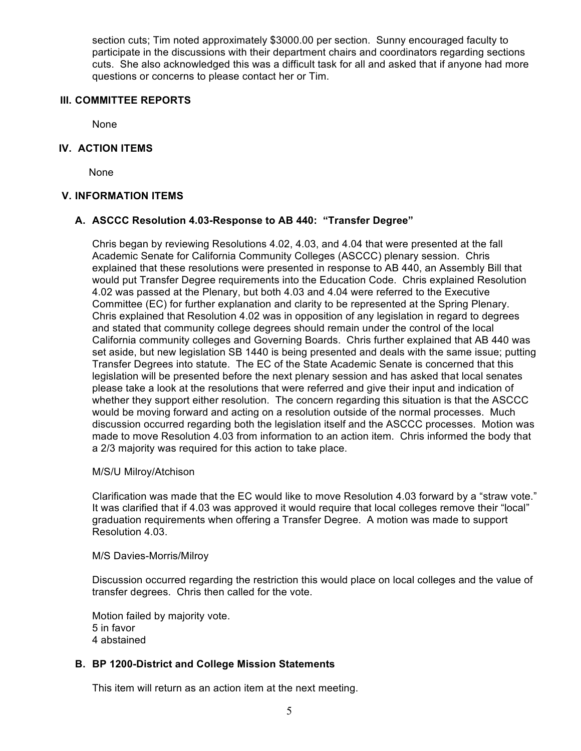section cuts; Tim noted approximately \$3000.00 per section. Sunny encouraged faculty to participate in the discussions with their department chairs and coordinators regarding sections cuts. She also acknowledged this was a difficult task for all and asked that if anyone had more questions or concerns to please contact her or Tim.

#### **III. COMMITTEE REPORTS**

None

#### **IV. ACTION ITEMS**

None

#### **V. INFORMATION ITEMS**

#### **A. ASCCC Resolution 4.03-Response to AB 440: "Transfer Degree"**

Chris began by reviewing Resolutions 4.02, 4.03, and 4.04 that were presented at the fall Academic Senate for California Community Colleges (ASCCC) plenary session. Chris explained that these resolutions were presented in response to AB 440, an Assembly Bill that would put Transfer Degree requirements into the Education Code. Chris explained Resolution 4.02 was passed at the Plenary, but both 4.03 and 4.04 were referred to the Executive Committee (EC) for further explanation and clarity to be represented at the Spring Plenary. Chris explained that Resolution 4.02 was in opposition of any legislation in regard to degrees and stated that community college degrees should remain under the control of the local California community colleges and Governing Boards. Chris further explained that AB 440 was set aside, but new legislation SB 1440 is being presented and deals with the same issue; putting Transfer Degrees into statute. The EC of the State Academic Senate is concerned that this legislation will be presented before the next plenary session and has asked that local senates please take a look at the resolutions that were referred and give their input and indication of whether they support either resolution. The concern regarding this situation is that the ASCCC would be moving forward and acting on a resolution outside of the normal processes. Much discussion occurred regarding both the legislation itself and the ASCCC processes. Motion was made to move Resolution 4.03 from information to an action item. Chris informed the body that a 2/3 majority was required for this action to take place.

#### M/S/U Milroy/Atchison

Clarification was made that the EC would like to move Resolution 4.03 forward by a "straw vote." It was clarified that if 4.03 was approved it would require that local colleges remove their "local" graduation requirements when offering a Transfer Degree. A motion was made to support Resolution 4.03.

#### M/S Davies-Morris/Milroy

Discussion occurred regarding the restriction this would place on local colleges and the value of transfer degrees. Chris then called for the vote.

Motion failed by majority vote. 5 in favor 4 abstained

#### **B. BP 1200-District and College Mission Statements**

This item will return as an action item at the next meeting.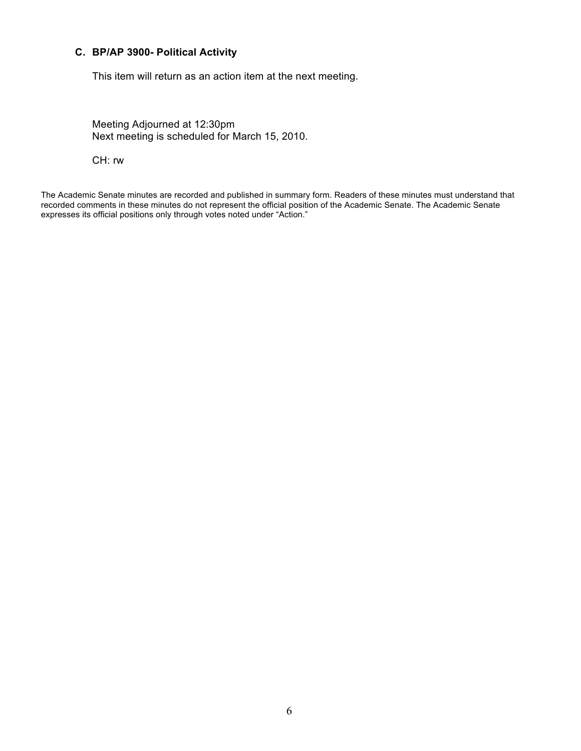#### **C. BP/AP 3900- Political Activity**

This item will return as an action item at the next meeting.

Meeting Adjourned at 12:30pm Next meeting is scheduled for March 15, 2010.

CH: rw

The Academic Senate minutes are recorded and published in summary form. Readers of these minutes must understand that recorded comments in these minutes do not represent the official position of the Academic Senate. The Academic Senate expresses its official positions only through votes noted under "Action."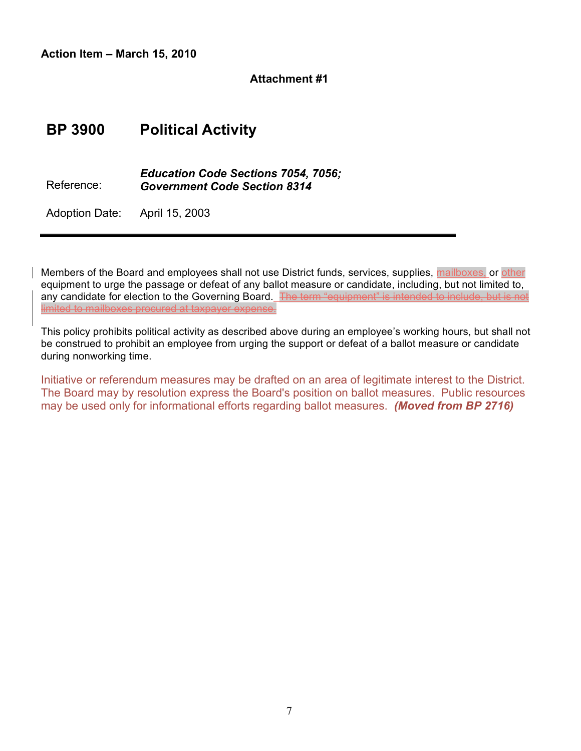**Action Item – March 15, 2010**

#### **Attachment #1**

## **BP 3900 Political Activity**

Reference: *Education Code Sections 7054, 7056; Government Code Section 8314*

Adoption Date: April 15, 2003

Members of the Board and employees shall not use District funds, services, supplies, mailboxes, or other equipment to urge the passage or defeat of any ballot measure or candidate, including, but not limited to, any candidate for election to the Governing Board. The term "equipment" is intended to include, but is not limited to mailboxes procured at taxpayer expense.

This policy prohibits political activity as described above during an employee's working hours, but shall not be construed to prohibit an employee from urging the support or defeat of a ballot measure or candidate during nonworking time.

Initiative or referendum measures may be drafted on an area of legitimate interest to the District. The Board may by resolution express the Board's position on ballot measures. Public resources may be used only for informational efforts regarding ballot measures. *(Moved from BP 2716)*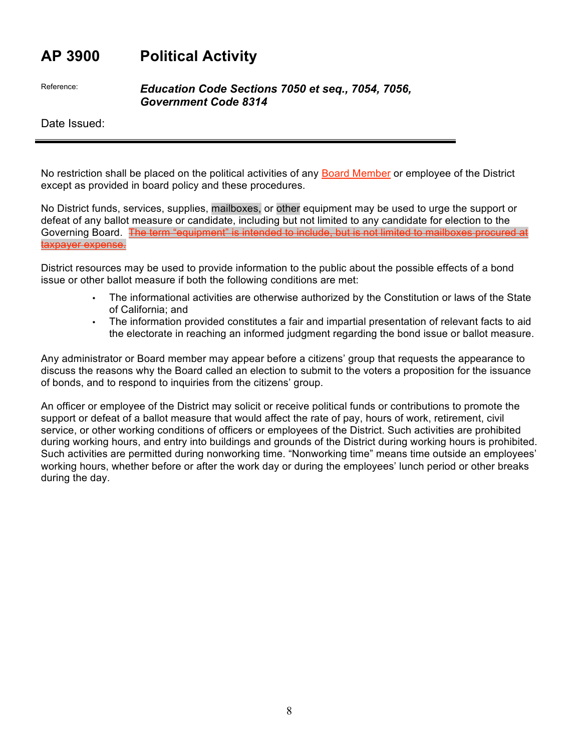## **AP 3900 Political Activity**

Reference: *Education Code Sections 7050 et seq., 7054, 7056, Government Code 8314*

Date Issued:

No restriction shall be placed on the political activities of any Board Member or employee of the District except as provided in board policy and these procedures.

No District funds, services, supplies, mailboxes, or other equipment may be used to urge the support or defeat of any ballot measure or candidate, including but not limited to any candidate for election to the Governing Board. The term "equipment" is intended to include, but is not limited to mailboxes procured at taxpayer expense.

District resources may be used to provide information to the public about the possible effects of a bond issue or other ballot measure if both the following conditions are met:

- The informational activities are otherwise authorized by the Constitution or laws of the State of California; and
- The information provided constitutes a fair and impartial presentation of relevant facts to aid the electorate in reaching an informed judgment regarding the bond issue or ballot measure.

Any administrator or Board member may appear before a citizens' group that requests the appearance to discuss the reasons why the Board called an election to submit to the voters a proposition for the issuance of bonds, and to respond to inquiries from the citizens' group.

An officer or employee of the District may solicit or receive political funds or contributions to promote the support or defeat of a ballot measure that would affect the rate of pay, hours of work, retirement, civil service, or other working conditions of officers or employees of the District. Such activities are prohibited during working hours, and entry into buildings and grounds of the District during working hours is prohibited. Such activities are permitted during nonworking time. "Nonworking time" means time outside an employees' working hours, whether before or after the work day or during the employees' lunch period or other breaks during the day.